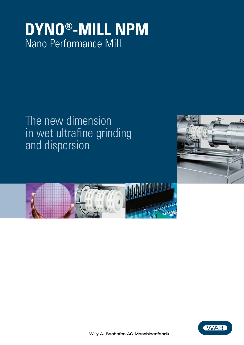# **DYNO®-MILL NPM** Nano Performance Mill

# The new dimension in wet ultrafine grinding and dispersion





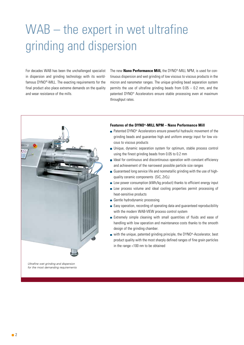# WAB – the expert in wet ultrafine grinding and dispersion

For decades WAB has been the unchallenged specialist in dispersion and grinding technology with its worldfamous DYNO®-MILL. The exacting requirements for the final product also place extreme demands on the quality and wear resistance of the mills.

The new **Nano Performance Mill,** the DYNO®-MILL NPM, is used for continuous dispersion and wet grinding of low viscous to viscous products in the micron and nanometer ranges. The unique grinding bead separation system permits the use of ultrafine grinding beads from  $0.05 - 0.2$  mm, and the patented DYNO® Accelerators ensure stable processing even at maximum throughput rates.



## **Features of the DYNO®-MILL NPM – Nano Performance Mill**

- Patented DYNO<sup>®</sup> Accelerators ensure powerful hydraulic movement of the grinding beads and guarantee high and uniform energy input for low viscous to viscous products
- **Dianum** Unique, dynamic separation system for optimum, stable process control using the finest grinding beads from 0.05 to 0.2 mm
- $\blacksquare$  Ideal for continuous and discontinuous operation with constant efficiency and achievement of the narrowest possible particle size ranges
- Guaranteed long service life and nonmetallic grinding with the use of highquality ceramic components  $(SiC, ZrO<sub>2</sub>)$
- $\blacksquare$  Low power consumption (kWh/kg product) thanks to efficient energy input
- **Low process volume and ideal cooling properties permit processing of** heat-sensitive products
- Gentle hydrodynamic processing
- **Easy operation, recording of operating data and quaranteed reproducibility** with the modern WAB-VIEW process control system
- Extremely simple cleaning with small quantities of fluids and ease of handling with low operation and maintenance costs thanks to the smooth design of the grinding chamber.
- $\blacksquare$  with the unique, patented grinding principle, the DYNO®-Accelerator, best product quality with the most sharply defined ranges of fine grain particles in the range <100 nm to be obtained

*Ultrafine wet grinding and dispersion for the most demanding requirements*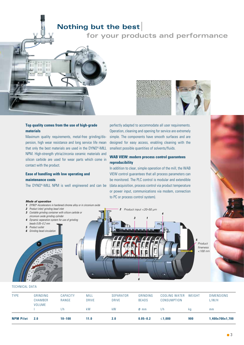# **Nothing but the best**

# **for your products and performance**





Maximum quality requirements, metal-free grinding/dispersion, high wear resistance and long service life mean that only the best materials are used in the DYNO®-MILL NPM. High-strength yttria/zirconia ceramic materials and silicon carbide are used for wear parts which come in contact with the product.

# **Ease of handling with low operating and maintenance costs**

The DYNO®-MILL NPM is well engineered and can be



perfectly adapted to accommodate all user requirements. Operation, cleaning and opening for service are extremely simple. The components have smooth surfaces and are designed for easy access, enabling cleaning with the smallest possible quantities of solvents/fluids.

# **WAB VIEW: modern process control guarantees reproducibility**

In addition to clear, simple operation of the mill, the WAB VIEW control guarantees that all process parameters can be monitored. The PLC control is modular and extendible (data acquisition, process control via product temperature or power input, communications via modem, connection to PC or process control system).



## TECHNICAL DATA

| <b>TYPE</b>      | GRINDING<br><b>CHAMBER</b><br>VOLUME | CAPACITY<br>RANGE | <b>MILL</b><br><b>DRIVE</b> | SEPARATOR<br><b>DRIVE</b> | GRINDING<br><b>BEADS</b> | COOLING WATER<br>CONSUMPTION | WEIGHT | <b>DIMENSIONS</b><br>L/W/H |
|------------------|--------------------------------------|-------------------|-----------------------------|---------------------------|--------------------------|------------------------------|--------|----------------------------|
|                  |                                      | l/h               | kW                          | kW                        | Ø mm                     | l/h                          | ka     | mm                         |
| <b>NPM Pilot</b> | 2.0                                  | $10 - 100$        | 11.0                        | 2.0                       | $0.05 - 0.2$             | $≤1.000$                     | 900    | 1.400x700x1.700            |